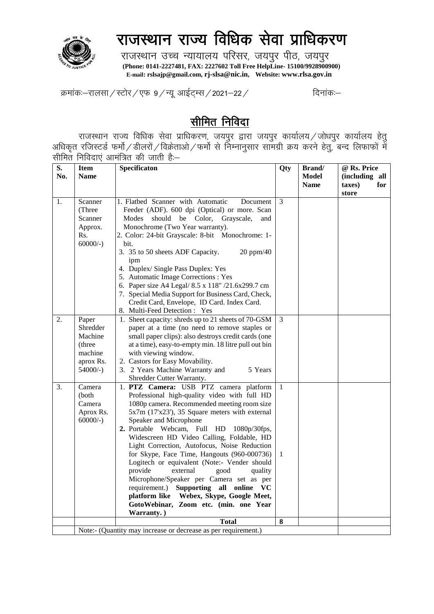

## राजस्थान राज्य विधिक सेवा प्राधिकरण

राजस्थान उच्च न्यायालय परिसर, जयपुर पीठ, जयपुर  **(Phone: 0141-2227481, FAX: 2227602 Toll Free HelpLine- 15100/9928900900) E-mail: rslsajp@gmail.com, rj-slsa@nic.in, Website: www.rlsa.gov.in**

क्रमांकः–रालसा / स्टोर / एफ ९ / न्यू आईटम्स / 2021–22 / क्रमांकः–

## सीमित निविदा

राजस्थान राज्य विधिक सेवा प्राधिकरण, जयपुर द्वारा जयपुर कार्यालय $\,$ जोधपुर कार्यालय हेतु $\,$ अधिकृत रजिस्टर्ड फर्मो $\angle$ डीलरों $\angle$ विक्रेताओ $\angle$ फर्मो से निम्नानुसार सामग्री क्रय करने हेतु, बन्द लिफाफों में सीमित निविदाएं आमंत्रित की जाती हैं:—

| S.  | <b>Item</b> | Specificaton                                                   | Qty          | <b>Brand</b> / | @ Rs. Price    |
|-----|-------------|----------------------------------------------------------------|--------------|----------------|----------------|
| No. | <b>Name</b> |                                                                |              | <b>Model</b>   | (including all |
|     |             |                                                                |              | <b>Name</b>    | taxes)<br>for  |
|     |             |                                                                |              |                | store          |
| 1.  | Scanner     | 1. Flatbed Scanner with Automatic<br>Document                  | 3            |                |                |
|     | (Three      | Feeder (ADF). 600 dpi (Optical) or more. Scan                  |              |                |                |
|     | Scanner     | should be Color, Grayscale,<br>Modes<br>and                    |              |                |                |
|     | Approx.     | Monochrome (Two Year warranty).                                |              |                |                |
|     | Rs.         | 2. Color: 24-bit Grayscale: 8-bit Monochrome: 1-               |              |                |                |
|     | $60000/-$ ) | bit.                                                           |              |                |                |
|     |             | 20 ppm/40<br>3. 35 to 50 sheets ADF Capacity.                  |              |                |                |
|     |             | ipm                                                            |              |                |                |
|     |             | 4. Duplex/Single Pass Duplex: Yes                              |              |                |                |
|     |             | 5. Automatic Image Corrections : Yes                           |              |                |                |
|     |             | 6. Paper size A4 Legal/ 8.5 x 118" /21.6x299.7 cm              |              |                |                |
|     |             | 7. Special Media Support for Business Card, Check,             |              |                |                |
|     |             | Credit Card, Envelope, ID Card. Index Card.                    |              |                |                |
|     |             | 8. Multi-Feed Detection: Yes                                   |              |                |                |
| 2.  | Paper       | 1. Sheet capacity: shreds up to 21 sheets of 70-GSM            | 3            |                |                |
|     | Shredder    | paper at a time (no need to remove staples or                  |              |                |                |
|     | Machine     | small paper clips): also destroys credit cards (one            |              |                |                |
|     | (three)     | at a time), easy-to-empty min. 18 litre pull out bin           |              |                |                |
|     | machine     | with viewing window.                                           |              |                |                |
|     | aprox Rs.   | 2. Castors for Easy Movability.                                |              |                |                |
|     | $54000/-$ ) | 3. 2 Years Machine Warranty and<br>5 Years                     |              |                |                |
|     |             | Shredder Cutter Warranty.                                      |              |                |                |
| 3.  | Camera      | 1. PTZ Camera: USB PTZ camera platform                         | $\mathbf{1}$ |                |                |
|     | (both       | Professional high-quality video with full HD                   |              |                |                |
|     | Camera      | 1080p camera. Recommended meeting room size                    |              |                |                |
|     | Aprox Rs.   | 5x7m (17'x23'), 35 Square meters with external                 |              |                |                |
|     | $60000/-$ ) | Speaker and Microphone                                         |              |                |                |
|     |             | 2. Portable Webcam, Full HD<br>1080p/30fps,                    |              |                |                |
|     |             | Widescreen HD Video Calling, Foldable, HD                      |              |                |                |
|     |             | Light Correction, Autofocus, Noise Reduction                   |              |                |                |
|     |             | for Skype, Face Time, Hangouts (960-000736)                    | 1            |                |                |
|     |             | Logitech or equivalent (Note:- Vender should                   |              |                |                |
|     |             | provide<br>external<br>good<br>quality                         |              |                |                |
|     |             | Microphone/Speaker per Camera set as per                       |              |                |                |
|     |             | requirement.)<br>Supporting all online VC                      |              |                |                |
|     |             | platform like Webex, Skype, Google Meet,                       |              |                |                |
|     |             | GotoWebinar, Zoom etc. (min. one Year                          |              |                |                |
|     |             | Warranty.)                                                     |              |                |                |
|     |             | <b>Total</b>                                                   | 8            |                |                |
|     |             | Note:- (Quantity may increase or decrease as per requirement.) |              |                |                |